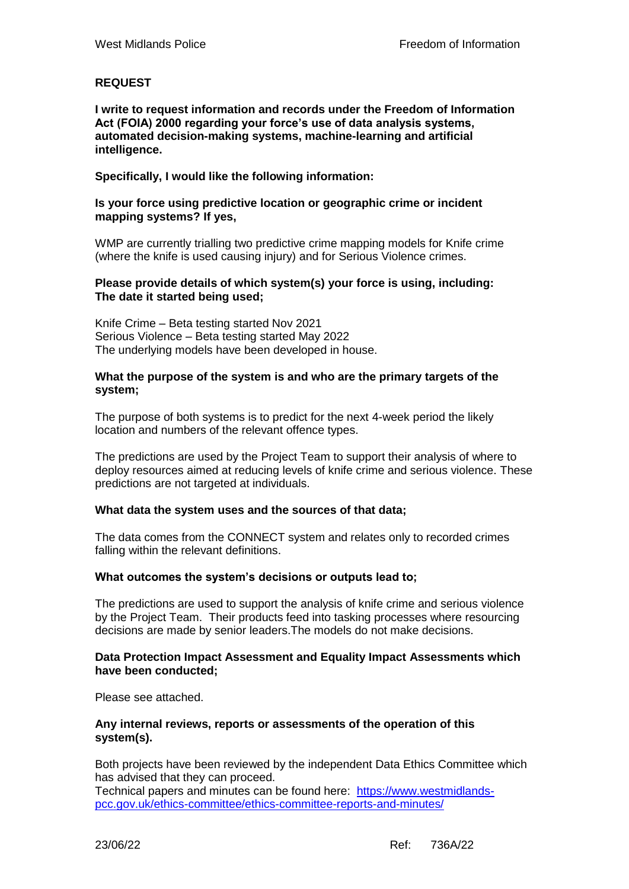# **REQUEST**

**I write to request information and records under the Freedom of Information Act (FOIA) 2000 regarding your force's use of data analysis systems, automated decision-making systems, machine-learning and artificial intelligence.**

## **Specifically, I would like the following information:**

#### **Is your force using predictive location or geographic crime or incident mapping systems? If yes,**

WMP are currently trialling two predictive crime mapping models for Knife crime (where the knife is used causing injury) and for Serious Violence crimes.

#### **Please provide details of which system(s) your force is using, including: The date it started being used;**

Knife Crime – Beta testing started Nov 2021 Serious Violence – Beta testing started May 2022 The underlying models have been developed in house.

### **What the purpose of the system is and who are the primary targets of the system;**

The purpose of both systems is to predict for the next 4-week period the likely location and numbers of the relevant offence types.

The predictions are used by the Project Team to support their analysis of where to deploy resources aimed at reducing levels of knife crime and serious violence. These predictions are not targeted at individuals.

#### **What data the system uses and the sources of that data;**

The data comes from the CONNECT system and relates only to recorded crimes falling within the relevant definitions.

## **What outcomes the system's decisions or outputs lead to;**

The predictions are used to support the analysis of knife crime and serious violence by the Project Team. Their products feed into tasking processes where resourcing decisions are made by senior leaders.The models do not make decisions.

#### **Data Protection Impact Assessment and Equality Impact Assessments which have been conducted;**

Please see attached.

### **Any internal reviews, reports or assessments of the operation of this system(s).**

Both projects have been reviewed by the independent Data Ethics Committee which has advised that they can proceed.

Technical papers and minutes can be found here: [https://www.westmidlands](https://gbr01.safelinks.protection.outlook.com/?url=https%3A%2F%2Fwww.westmidlands-pcc.gov.uk%2Fethics-committee%2Fethics-committee-reports-and-minutes%2F&data=05%7C01%7Cmichelle.richardson%40westmidlands.police.uk%7C4584b5706cee49aef5c408da4eabea37%7C2b0f1af29e024cfb982fc61fd716ee98%7C0%7C0%7C637908797527360823%7CUnknown%7CTWFpbGZsb3d8eyJWIjoiMC4wLjAwMDAiLCJQIjoiV2luMzIiLCJBTiI6Ik1haWwiLCJXVCI6Mn0%3D%7C3000%7C%7C%7C&sdata=sE3LQ04QtqzsNi4eYRUYt2pAzkyxnYfXjN5FM%2BGpOJw%3D&reserved=0)[pcc.gov.uk/ethics-committee/ethics-committee-reports-and-minutes/](https://gbr01.safelinks.protection.outlook.com/?url=https%3A%2F%2Fwww.westmidlands-pcc.gov.uk%2Fethics-committee%2Fethics-committee-reports-and-minutes%2F&data=05%7C01%7Cmichelle.richardson%40westmidlands.police.uk%7C4584b5706cee49aef5c408da4eabea37%7C2b0f1af29e024cfb982fc61fd716ee98%7C0%7C0%7C637908797527360823%7CUnknown%7CTWFpbGZsb3d8eyJWIjoiMC4wLjAwMDAiLCJQIjoiV2luMzIiLCJBTiI6Ik1haWwiLCJXVCI6Mn0%3D%7C3000%7C%7C%7C&sdata=sE3LQ04QtqzsNi4eYRUYt2pAzkyxnYfXjN5FM%2BGpOJw%3D&reserved=0)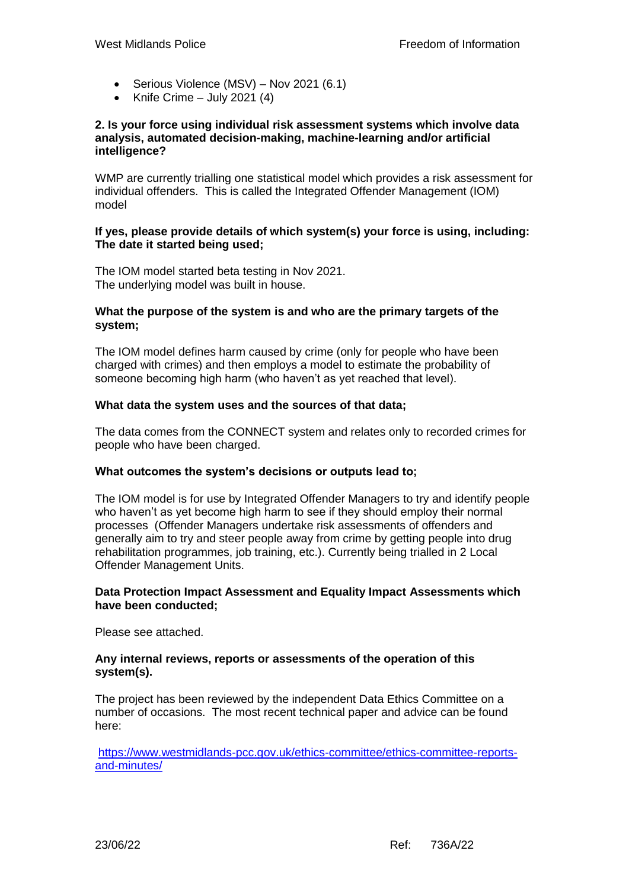- Serious Violence (MSV) Nov 2021 (6.1)
- Knife Crime July 2021  $(4)$

### **2. Is your force using individual risk assessment systems which involve data analysis, automated decision-making, machine-learning and/or artificial intelligence?**

WMP are currently trialling one statistical model which provides a risk assessment for individual offenders. This is called the Integrated Offender Management (IOM) model

### **If yes, please provide details of which system(s) your force is using, including: The date it started being used;**

The IOM model started beta testing in Nov 2021. The underlying model was built in house.

## **What the purpose of the system is and who are the primary targets of the system;**

The IOM model defines harm caused by crime (only for people who have been charged with crimes) and then employs a model to estimate the probability of someone becoming high harm (who haven't as yet reached that level).

## **What data the system uses and the sources of that data;**

The data comes from the CONNECT system and relates only to recorded crimes for people who have been charged.

## **What outcomes the system's decisions or outputs lead to;**

The IOM model is for use by Integrated Offender Managers to try and identify people who haven't as yet become high harm to see if they should employ their normal processes (Offender Managers undertake risk assessments of offenders and generally aim to try and steer people away from crime by getting people into drug rehabilitation programmes, job training, etc.). Currently being trialled in 2 Local Offender Management Units.

### **Data Protection Impact Assessment and Equality Impact Assessments which have been conducted;**

Please see attached.

## **Any internal reviews, reports or assessments of the operation of this system(s).**

The project has been reviewed by the independent Data Ethics Committee on a number of occasions. The most recent technical paper and advice can be found here:

[https://www.westmidlands-pcc.gov.uk/ethics-committee/ethics-committee-reports](https://gbr01.safelinks.protection.outlook.com/?url=https%3A%2F%2Fwww.westmidlands-pcc.gov.uk%2Fethics-committee%2Fethics-committee-reports-and-minutes%2F&data=05%7C01%7Cmichelle.richardson%40westmidlands.police.uk%7C4584b5706cee49aef5c408da4eabea37%7C2b0f1af29e024cfb982fc61fd716ee98%7C0%7C0%7C637908797527360823%7CUnknown%7CTWFpbGZsb3d8eyJWIjoiMC4wLjAwMDAiLCJQIjoiV2luMzIiLCJBTiI6Ik1haWwiLCJXVCI6Mn0%3D%7C3000%7C%7C%7C&sdata=sE3LQ04QtqzsNi4eYRUYt2pAzkyxnYfXjN5FM%2BGpOJw%3D&reserved=0)[and-minutes/](https://gbr01.safelinks.protection.outlook.com/?url=https%3A%2F%2Fwww.westmidlands-pcc.gov.uk%2Fethics-committee%2Fethics-committee-reports-and-minutes%2F&data=05%7C01%7Cmichelle.richardson%40westmidlands.police.uk%7C4584b5706cee49aef5c408da4eabea37%7C2b0f1af29e024cfb982fc61fd716ee98%7C0%7C0%7C637908797527360823%7CUnknown%7CTWFpbGZsb3d8eyJWIjoiMC4wLjAwMDAiLCJQIjoiV2luMzIiLCJBTiI6Ik1haWwiLCJXVCI6Mn0%3D%7C3000%7C%7C%7C&sdata=sE3LQ04QtqzsNi4eYRUYt2pAzkyxnYfXjN5FM%2BGpOJw%3D&reserved=0)